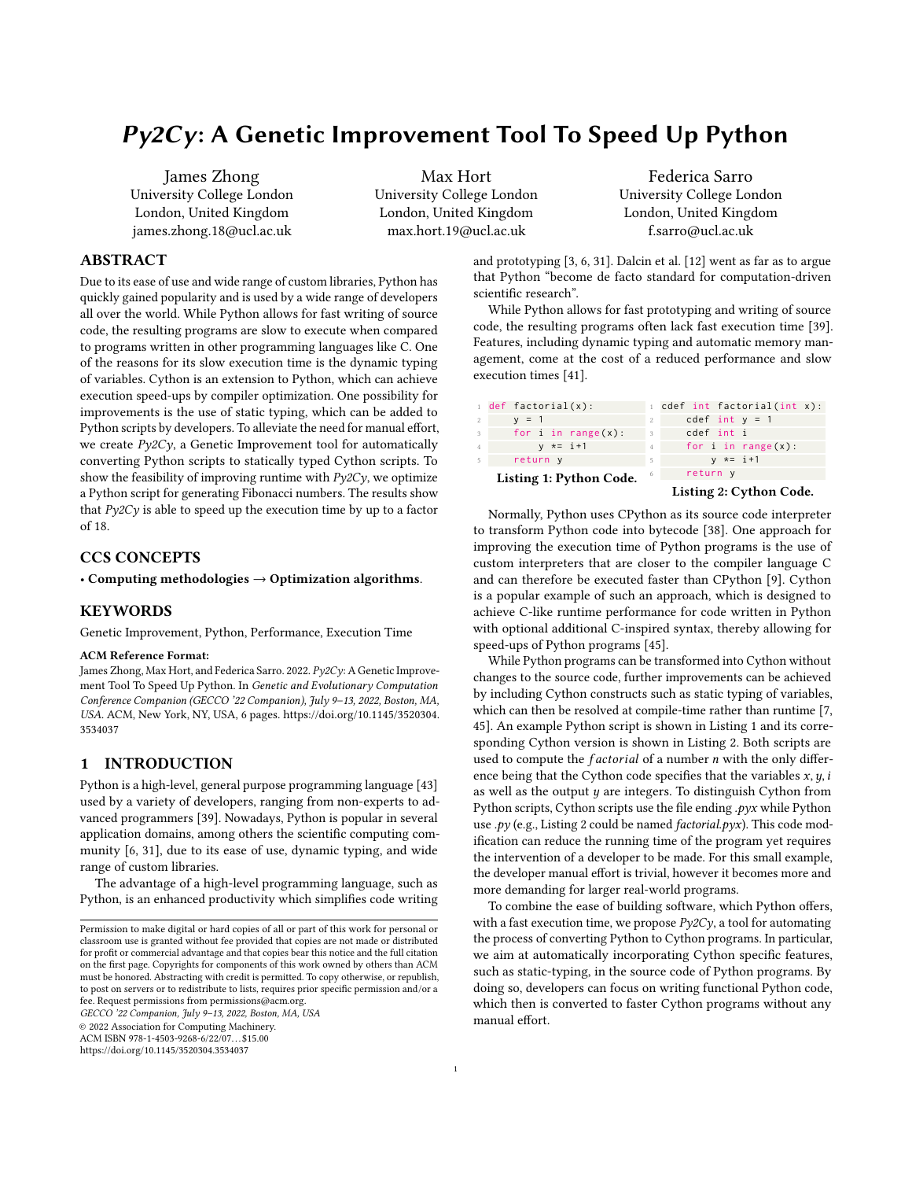# Py2Cy: A Genetic Improvement Tool To Speed Up Python

James Zhong University College London London, United Kingdom james.zhong.18@ucl.ac.uk

Max Hort University College London London, United Kingdom max.hort.19@ucl.ac.uk

Federica Sarro University College London London, United Kingdom f.sarro@ucl.ac.uk

## ABSTRACT

Due to its ease of use and wide range of custom libraries, Python has quickly gained popularity and is used by a wide range of developers all over the world. While Python allows for fast writing of source code, the resulting programs are slow to execute when compared to programs written in other programming languages like C. One of the reasons for its slow execution time is the dynamic typing of variables. Cython is an extension to Python, which can achieve execution speed-ups by compiler optimization. One possibility for improvements is the use of static typing, which can be added to Python scripts by developers. To alleviate the need for manual effort, we create  $P\gamma 2C\gamma$ , a Genetic Improvement tool for automatically converting Python scripts to statically typed Cython scripts. To show the feasibility of improving runtime with  $Py2Cy$ , we optimize a Python script for generating Fibonacci numbers. The results show that  $Py2Cy$  is able to speed up the execution time by up to a factor of 18.

## CCS CONCEPTS

• Computing methodologies  $\rightarrow$  Optimization algorithms.

## **KEYWORDS**

Genetic Improvement, Python, Performance, Execution Time

#### ACM Reference Format:

James Zhong, Max Hort, and Federica Sarro. 2022. Py2Cy: A Genetic Improvement Tool To Speed Up Python. In Genetic and Evolutionary Computation Conference Companion (GECCO '22 Companion), July 9–13, 2022, Boston, MA, USA. ACM, New York, NY, USA, [6](#page-5-0) pages. [https://doi.org/10.1145/3520304.](https://doi.org/10.1145/3520304.3534037) [3534037](https://doi.org/10.1145/3520304.3534037)

## 1 INTRODUCTION

Python is a high-level, general purpose programming language [\[43\]](#page-5-1) used by a variety of developers, ranging from non-experts to advanced programmers [\[39\]](#page-5-2). Nowadays, Python is popular in several application domains, among others the scientific computing community [\[6,](#page-5-3) [31\]](#page-5-4), due to its ease of use, dynamic typing, and wide range of custom libraries.

The advantage of a high-level programming language, such as Python, is an enhanced productivity which simplifies code writing

GECCO '22 Companion, July 9–13, 2022, Boston, MA, USA

© 2022 Association for Computing Machinery.

ACM ISBN 978-1-4503-9268-6/22/07. . . \$15.00

<https://doi.org/10.1145/3520304.3534037>

and prototyping [\[3,](#page-5-5) [6,](#page-5-3) [31\]](#page-5-4). Dalcin et al. [\[12\]](#page-5-6) went as far as to argue that Python "become de facto standard for computation-driven scientific research".

While Python allows for fast prototyping and writing of source code, the resulting programs often lack fast execution time [\[39\]](#page-5-2). Features, including dynamic typing and automatic memory management, come at the cost of a reduced performance and slow execution times [\[41\]](#page-5-7).

<span id="page-0-1"></span><span id="page-0-0"></span>

|                | $1$ def factorial(x):   |                | 1 cdef int factorial(int x): |  |  |  |  |
|----------------|-------------------------|----------------|------------------------------|--|--|--|--|
| 2              | $y = 1$                 | $\mathbf{2}$   | cdef int $y = 1$             |  |  |  |  |
| $\overline{3}$ | for i in range $(x)$ :  | $\mathcal{R}$  | cdef int i                   |  |  |  |  |
| $\overline{4}$ | $y \neq i+1$            | $\overline{4}$ | for i in range $(x)$ :       |  |  |  |  |
| -5             | return y                | 5              | $v * = i + 1$                |  |  |  |  |
|                | Listing 1: Python Code. | -6             | return y                     |  |  |  |  |
|                |                         |                | Listing 2: Cython Code.      |  |  |  |  |

Normally, Python uses CPython as its source code interpreter to transform Python code into bytecode [\[38\]](#page-5-8). One approach for improving the execution time of Python programs is the use of custom interpreters that are closer to the compiler language C and can therefore be executed faster than CPython [\[9\]](#page-5-9). Cython is a popular example of such an approach, which is designed to achieve C-like runtime performance for code written in Python with optional additional C-inspired syntax, thereby allowing for speed-ups of Python programs [\[45\]](#page-5-10).

While Python programs can be transformed into Cython without changes to the source code, further improvements can be achieved by including Cython constructs such as static typing of variables, which can then be resolved at compile-time rather than runtime [\[7,](#page-5-11) [45\]](#page-5-10). An example Python script is shown in Listing [1](#page-0-0) and its corresponding Cython version is shown in Listing [2.](#page-0-1) Both scripts are used to compute the  $factorial$  of a number  $n$  with the only difference being that the Cython code specifies that the variables  $x, y, i$ as well as the output  $y$  are integers. To distinguish Cython from Python scripts, Cython scripts use the file ending .pyx while Python use  $.py$  (e.g., Listing [2](#page-0-1) could be named *factorial.pyx*). This code modification can reduce the running time of the program yet requires the intervention of a developer to be made. For this small example, the developer manual effort is trivial, however it becomes more and more demanding for larger real-world programs.

To combine the ease of building software, which Python offers, with a fast execution time, we propose  $P\gamma 2C\gamma$ , a tool for automating the process of converting Python to Cython programs. In particular, we aim at automatically incorporating Cython specific features, such as static-typing, in the source code of Python programs. By doing so, developers can focus on writing functional Python code, which then is converted to faster Cython programs without any manual effort.

Permission to make digital or hard copies of all or part of this work for personal or classroom use is granted without fee provided that copies are not made or distributed for profit or commercial advantage and that copies bear this notice and the full citation on the first page. Copyrights for components of this work owned by others than ACM must be honored. Abstracting with credit is permitted. To copy otherwise, or republish, to post on servers or to redistribute to lists, requires prior specific permission and/or a fee. Request permissions from permissions@acm.org.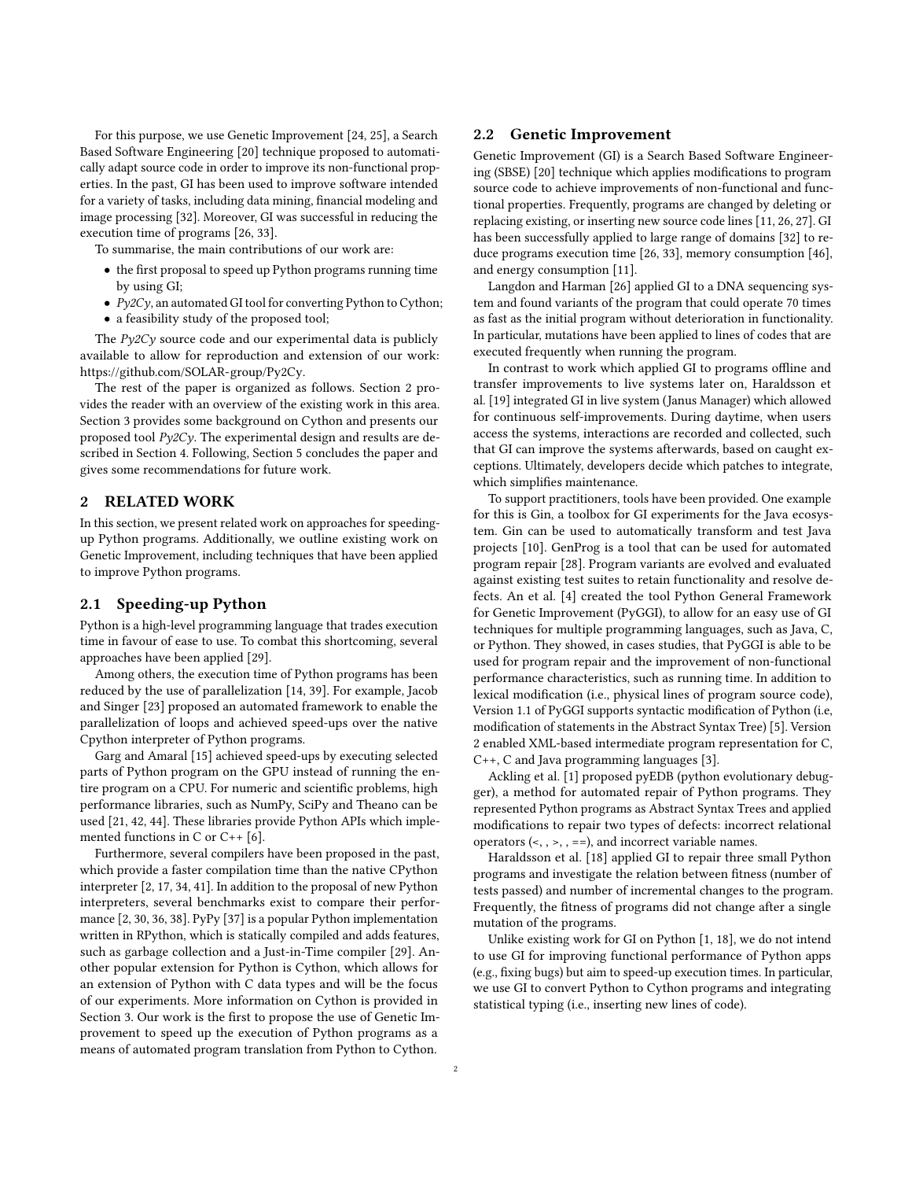For this purpose, we use Genetic Improvement [\[24,](#page-5-12) [25\]](#page-5-13), a Search Based Software Engineering [\[20\]](#page-5-14) technique proposed to automatically adapt source code in order to improve its non-functional properties. In the past, GI has been used to improve software intended for a variety of tasks, including data mining, financial modeling and image processing [\[32\]](#page-5-15). Moreover, GI was successful in reducing the execution time of programs [\[26,](#page-5-16) [33\]](#page-5-17).

To summarise, the main contributions of our work are:

- the first proposal to speed up Python programs running time by using GI;
- Py2Cy, an automated GI tool for converting Python to Cython;
- a feasibility study of the proposed tool;

The  $Pv2Cv$  source code and our experimental data is publicly available to allow for reproduction and extension of our work: [https://github.com/SOLAR-group/Py2Cy.](https://github.com/SOLAR-group/Py2Cy)

The rest of the paper is organized as follows. Section [2](#page-1-0) provides the reader with an overview of the existing work in this area. Section [3](#page-2-0) provides some background on Cython and presents our proposed tool  $P\gamma 2C\gamma$ . The experimental design and results are described in Section [4.](#page-3-0) Following, Section [5](#page-4-0) concludes the paper and gives some recommendations for future work.

#### <span id="page-1-0"></span>2 RELATED WORK

In this section, we present related work on approaches for speedingup Python programs. Additionally, we outline existing work on Genetic Improvement, including techniques that have been applied to improve Python programs.

#### 2.1 Speeding-up Python

Python is a high-level programming language that trades execution time in favour of ease to use. To combat this shortcoming, several approaches have been applied [\[29\]](#page-5-18).

Among others, the execution time of Python programs has been reduced by the use of parallelization [\[14,](#page-5-19) [39\]](#page-5-2). For example, Jacob and Singer [\[23\]](#page-5-20) proposed an automated framework to enable the parallelization of loops and achieved speed-ups over the native Cpython interpreter of Python programs.

Garg and Amaral [\[15\]](#page-5-21) achieved speed-ups by executing selected parts of Python program on the GPU instead of running the entire program on a CPU. For numeric and scientific problems, high performance libraries, such as NumPy, SciPy and Theano can be used [\[21,](#page-5-22) [42,](#page-5-23) [44\]](#page-5-24). These libraries provide Python APIs which implemented functions in C or C++ [\[6\]](#page-5-3).

Furthermore, several compilers have been proposed in the past, which provide a faster compilation time than the native CPython interpreter [\[2,](#page-5-25) [17,](#page-5-26) [34,](#page-5-27) [41\]](#page-5-7). In addition to the proposal of new Python interpreters, several benchmarks exist to compare their performance [\[2,](#page-5-25) [30,](#page-5-28) [36,](#page-5-29) [38\]](#page-5-8). PyPy [\[37\]](#page-5-30) is a popular Python implementation written in RPython, which is statically compiled and adds features, such as garbage collection and a Just-in-Time compiler [\[29\]](#page-5-18). Another popular extension for Python is Cython, which allows for an extension of Python with C data types and will be the focus of our experiments. More information on Cython is provided in Section [3.](#page-2-0) Our work is the first to propose the use of Genetic Improvement to speed up the execution of Python programs as a means of automated program translation from Python to Cython.

## 2.2 Genetic Improvement

Genetic Improvement (GI) is a Search Based Software Engineering (SBSE) [\[20\]](#page-5-14) technique which applies modifications to program source code to achieve improvements of non-functional and functional properties. Frequently, programs are changed by deleting or replacing existing, or inserting new source code lines [\[11,](#page-5-31) [26,](#page-5-16) [27\]](#page-5-32). GI has been successfully applied to large range of domains [\[32\]](#page-5-15) to reduce programs execution time [\[26,](#page-5-16) [33\]](#page-5-17), memory consumption [\[46\]](#page-5-33), and energy consumption [\[11\]](#page-5-31).

Langdon and Harman [\[26\]](#page-5-16) applied GI to a DNA sequencing system and found variants of the program that could operate 70 times as fast as the initial program without deterioration in functionality. In particular, mutations have been applied to lines of codes that are executed frequently when running the program.

In contrast to work which applied GI to programs offline and transfer improvements to live systems later on, Haraldsson et al. [\[19\]](#page-5-34) integrated GI in live system (Janus Manager) which allowed for continuous self-improvements. During daytime, when users access the systems, interactions are recorded and collected, such that GI can improve the systems afterwards, based on caught exceptions. Ultimately, developers decide which patches to integrate, which simplifies maintenance.

To support practitioners, tools have been provided. One example for this is Gin, a toolbox for GI experiments for the Java ecosystem. Gin can be used to automatically transform and test Java projects [\[10\]](#page-5-35). GenProg is a tool that can be used for automated program repair [\[28\]](#page-5-36). Program variants are evolved and evaluated against existing test suites to retain functionality and resolve defects. An et al. [\[4\]](#page-5-37) created the tool Python General Framework for Genetic Improvement (PyGGI), to allow for an easy use of GI techniques for multiple programming languages, such as Java, C, or Python. They showed, in cases studies, that PyGGI is able to be used for program repair and the improvement of non-functional performance characteristics, such as running time. In addition to lexical modification (i.e., physical lines of program source code), Version 1.1 of PyGGI supports syntactic modification of Python (i.e, modification of statements in the Abstract Syntax Tree) [\[5\]](#page-5-38). Version 2 enabled XML-based intermediate program representation for C, C++, C and Java programming languages [\[3\]](#page-5-5).

Ackling et al. [\[1\]](#page-5-39) proposed pyEDB (python evolutionary debugger), a method for automated repair of Python programs. They represented Python programs as Abstract Syntax Trees and applied modifications to repair two types of defects: incorrect relational operators  $(<, , >, ==)$ , and incorrect variable names.

Haraldsson et al. [\[18\]](#page-5-40) applied GI to repair three small Python programs and investigate the relation between fitness (number of tests passed) and number of incremental changes to the program. Frequently, the fitness of programs did not change after a single mutation of the programs.

Unlike existing work for GI on Python [\[1,](#page-5-39) [18\]](#page-5-40), we do not intend to use GI for improving functional performance of Python apps (e.g., fixing bugs) but aim to speed-up execution times. In particular, we use GI to convert Python to Cython programs and integrating statistical typing (i.e., inserting new lines of code).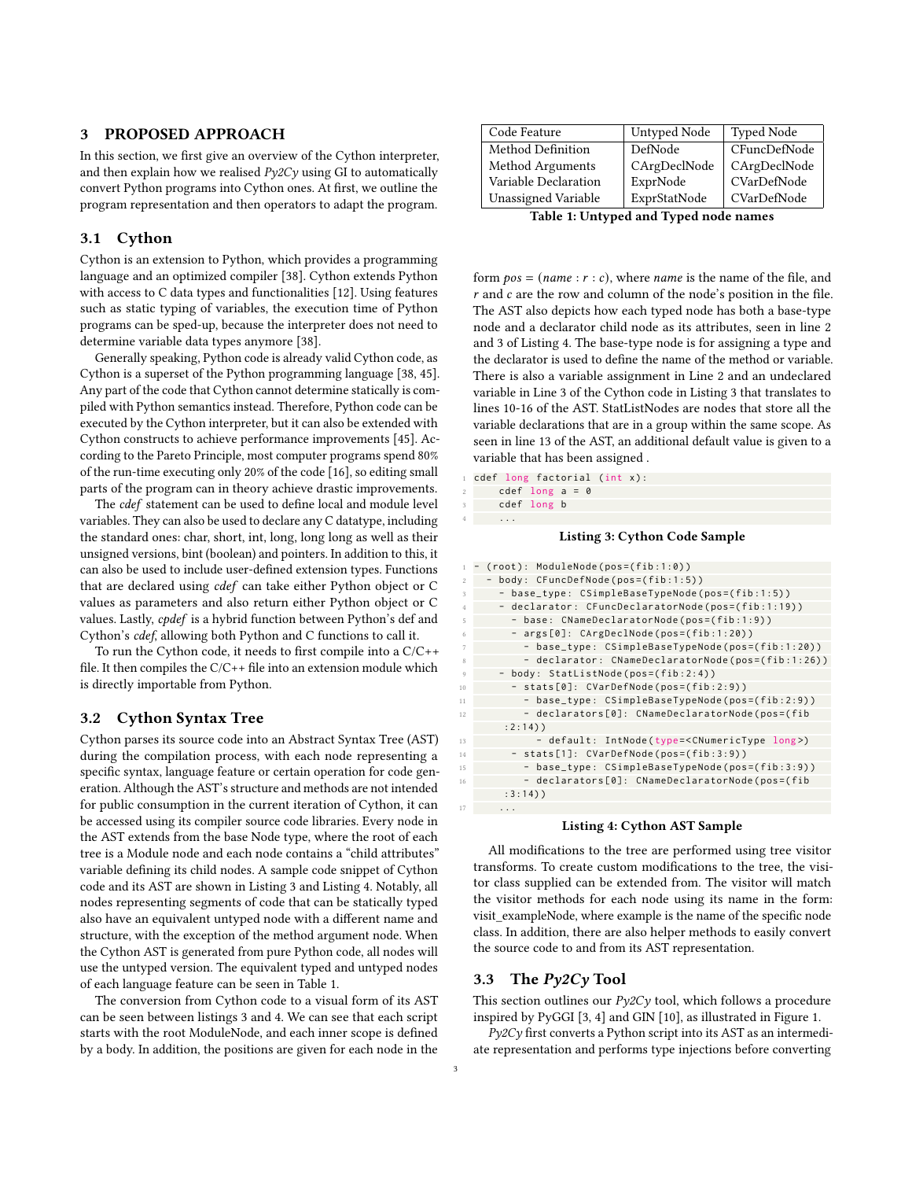## <span id="page-2-0"></span>3 PROPOSED APPROACH

In this section, we first give an overview of the Cython interpreter, and then explain how we realised  $Py2Cy$  using GI to automatically convert Python programs into Cython ones. At first, we outline the program representation and then operators to adapt the program.

## 3.1 Cython

Cython is an extension to Python, which provides a programming language and an optimized compiler [\[38\]](#page-5-8). Cython extends Python with access to C data types and functionalities [\[12\]](#page-5-6). Using features such as static typing of variables, the execution time of Python programs can be sped-up, because the interpreter does not need to determine variable data types anymore [\[38\]](#page-5-8).

Generally speaking, Python code is already valid Cython code, as Cython is a superset of the Python programming language [\[38,](#page-5-8) [45\]](#page-5-10). Any part of the code that Cython cannot determine statically is compiled with Python semantics instead. Therefore, Python code can be executed by the Cython interpreter, but it can also be extended with Cython constructs to achieve performance improvements [\[45\]](#page-5-10). According to the Pareto Principle, most computer programs spend 80% of the run-time executing only 20% of the code [\[16\]](#page-5-41), so editing small parts of the program can in theory achieve drastic improvements.

The cdef statement can be used to define local and module level variables. They can also be used to declare any C datatype, including the standard ones: char, short, int, long, long long as well as their unsigned versions, bint (boolean) and pointers. In addition to this, it can also be used to include user-defined extension types. Functions that are declared using cdef can take either Python object or C values as parameters and also return either Python object or C values. Lastly, cpdef is a hybrid function between Python's def and Cython's cdef, allowing both Python and C functions to call it.

To run the Cython code, it needs to first compile into a C/C++ file. It then compiles the  $C/C++$  file into an extension module which is directly importable from Python.

## 3.2 Cython Syntax Tree

Cython parses its source code into an Abstract Syntax Tree (AST) during the compilation process, with each node representing a specific syntax, language feature or certain operation for code generation. Although the AST's structure and methods are not intended for public consumption in the current iteration of Cython, it can be accessed using its compiler source code libraries. Every node in the AST extends from the base Node type, where the root of each tree is a Module node and each node contains a "child attributes" variable defining its child nodes. A sample code snippet of Cython code and its AST are shown in Listing [3](#page-2-1) and Listing [4.](#page-2-2) Notably, all nodes representing segments of code that can be statically typed also have an equivalent untyped node with a different name and structure, with the exception of the method argument node. When the Cython AST is generated from pure Python code, all nodes will use the untyped version. The equivalent typed and untyped nodes of each language feature can be seen in Table [1.](#page-2-3)

The conversion from Cython code to a visual form of its AST can be seen between listings [3](#page-2-1) and [4.](#page-2-2) We can see that each script starts with the root ModuleNode, and each inner scope is defined by a body. In addition, the positions are given for each node in the

<span id="page-2-3"></span>

| Code Feature         | Untyped Node | <b>Typed Node</b> |
|----------------------|--------------|-------------------|
| Method Definition    | DefNode      | CFuncDefNode      |
| Method Arguments     | CArgDeclNode | CArgDeclNode      |
| Variable Declaration | ExprNode     | CVarDefNode       |
| Unassigned Variable  | ExprStatNode | CVarDefNode       |

Table 1: Untyped and Typed node names

form  $pos = (name : r : c)$ , where *name* is the name of the file, and  $r$  and  $c$  are the row and column of the node's position in the file. The AST also depicts how each typed node has both a base-type node and a declarator child node as its attributes, seen in line 2 and 3 of Listing [4.](#page-2-2) The base-type node is for assigning a type and the declarator is used to define the name of the method or variable. There is also a variable assignment in Line 2 and an undeclared variable in Line 3 of the Cython code in Listing [3](#page-2-1) that translates to lines 10-16 of the AST. StatListNodes are nodes that store all the variable declarations that are in a group within the same scope. As seen in line 13 of the AST, an additional default value is given to a variable that has been assigned .

<span id="page-2-1"></span>cdef long factorial (int x):

- cdef long  $a = 0$ cdef long b
- 4 **...**

#### Listing 3: Cython Code Sample

<span id="page-2-2"></span>

| $\mathbf{1}$   | $(root): ModuleNode(pos=(fib:1:0))$                             |
|----------------|-----------------------------------------------------------------|
| $\mathbf{2}$   | - body: CFuncDefNode(pos=(fib:1:5))                             |
| 3              | - base_type: CSimpleBaseTypeNode(pos=(fib:1:5))                 |
| $\overline{4}$ | - declarator: CFuncDeclaratorNode(pos=(fib:1:19))               |
| 5              | - base: CNameDeclaratorNode(pos=(fib:1:9))                      |
| 6              | - args[0]: CArgDeclNode(pos=(fib:1:20))                         |
| $\overline{7}$ | - base_type: CSimpleBaseTypeNode(pos=(fib:1:20))                |
| 8              | - declarator: CNameDeclaratorNode(pos=(fib:1:26))               |
| Q              | - body: StatListNode(pos=(fib:2:4))                             |
| 10             | - stats[0]: CVarDefNode(pos=(fib:2:9))                          |
| 11             | - base_type: CSimpleBaseTypeNode(pos=(fib:2:9))                 |
| 12             | - declarators[0]: CNameDeclaratorNode(pos=(fib                  |
|                | $: 2: 14)$ )                                                    |
| 13             | - default: IntNode(type= <cnumerictype long="">)</cnumerictype> |
| 14             | - stats[1]: CVarDefNode(pos=(fib:3:9))                          |
| 15             | - base_type: CSimpleBaseTypeNode(pos=(fib:3:9))                 |
| 16             | - declarators[0]: CNameDeclaratorNode(pos=(fib                  |
|                | $:3:14)$ )                                                      |
| 17             |                                                                 |

#### Listing 4: Cython AST Sample

All modifications to the tree are performed using tree visitor transforms. To create custom modifications to the tree, the visitor class supplied can be extended from. The visitor will match the visitor methods for each node using its name in the form: visit\_exampleNode, where example is the name of the specific node class. In addition, there are also helper methods to easily convert the source code to and from its AST representation.

## 3.3 The Py2Cy Tool

This section outlines our  $Py2Cy$  tool, which follows a procedure inspired by PyGGI [\[3,](#page-5-5) [4\]](#page-5-37) and GIN [\[10\]](#page-5-35), as illustrated in Figure [1.](#page-3-1)

Py2Cy first converts a Python script into its AST as an intermediate representation and performs type injections before converting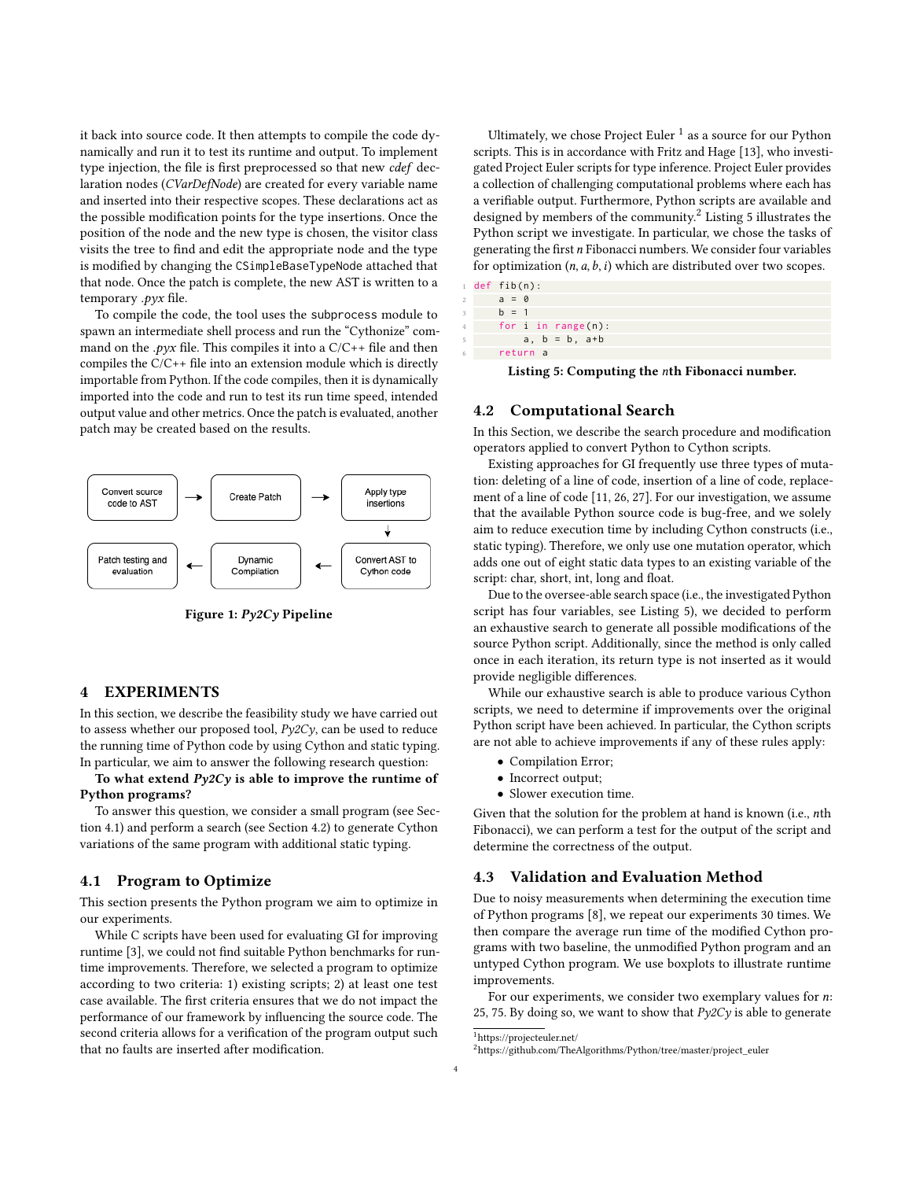it back into source code. It then attempts to compile the code dynamically and run it to test its runtime and output. To implement type injection, the file is first preprocessed so that new cdef declaration nodes (CVarDefNode) are created for every variable name and inserted into their respective scopes. These declarations act as the possible modification points for the type insertions. Once the position of the node and the new type is chosen, the visitor class visits the tree to find and edit the appropriate node and the type is modified by changing the CSimpleBaseTypeNode attached that that node. Once the patch is complete, the new AST is written to a temporary .pyx file.

To compile the code, the tool uses the subprocess module to spawn an intermediate shell process and run the "Cythonize" command on the .pyx file. This compiles it into a  $C/C++$  file and then compiles the C/C++ file into an extension module which is directly importable from Python. If the code compiles, then it is dynamically imported into the code and run to test its run time speed, intended output value and other metrics. Once the patch is evaluated, another patch may be created based on the results.

<span id="page-3-1"></span>

Figure 1: Py2Cy Pipeline

#### <span id="page-3-0"></span>4 EXPERIMENTS

In this section, we describe the feasibility study we have carried out to assess whether our proposed tool, Py2Cy, can be used to reduce the running time of Python code by using Cython and static typing. In particular, we aim to answer the following research question:

## To what extend  $Py2Cy$  is able to improve the runtime of Python programs?

To answer this question, we consider a small program (see Section [4.1\)](#page-3-2) and perform a search (see Section [4.2\)](#page-3-3) to generate Cython variations of the same program with additional static typing.

## <span id="page-3-2"></span>4.1 Program to Optimize

This section presents the Python program we aim to optimize in our experiments.

While C scripts have been used for evaluating GI for improving runtime [\[3\]](#page-5-5), we could not find suitable Python benchmarks for runtime improvements. Therefore, we selected a program to optimize according to two criteria: 1) existing scripts; 2) at least one test case available. The first criteria ensures that we do not impact the performance of our framework by influencing the source code. The second criteria allows for a verification of the program output such that no faults are inserted after modification.

Ultimately, we chose Project Euler  $^1$  $^1$  as a source for our Python scripts. This is in accordance with Fritz and Hage [\[13\]](#page-5-42), who investigated Project Euler scripts for type inference. Project Euler provides a collection of challenging computational problems where each has a verifiable output. Furthermore, Python scripts are available and designed by members of the community.[2](#page-3-5) Listing [5](#page-3-6) illustrates the Python script we investigate. In particular, we chose the tasks of generating the first  $n$  Fibonacci numbers. We consider four variables for optimization  $(n, a, b, i)$  which are distributed over two scopes.

<span id="page-3-6"></span>

|                | $1$ def fib(n): |          |  |                          |  |  |  |  |  |
|----------------|-----------------|----------|--|--------------------------|--|--|--|--|--|
| $\overline{a}$ |                 | $a = 0$  |  |                          |  |  |  |  |  |
| 3              |                 | $h = 1$  |  |                          |  |  |  |  |  |
|                |                 |          |  | for $i$ in range $(n)$ : |  |  |  |  |  |
| 5              |                 |          |  | $a, b = b, a + b$        |  |  |  |  |  |
| 6              |                 | return a |  |                          |  |  |  |  |  |

Listing 5: Computing the nth Fibonacci number.

#### <span id="page-3-3"></span>4.2 Computational Search

In this Section, we describe the search procedure and modification operators applied to convert Python to Cython scripts.

Existing approaches for GI frequently use three types of mutation: deleting of a line of code, insertion of a line of code, replacement of a line of code [\[11,](#page-5-31) [26,](#page-5-16) [27\]](#page-5-32). For our investigation, we assume that the available Python source code is bug-free, and we solely aim to reduce execution time by including Cython constructs (i.e., static typing). Therefore, we only use one mutation operator, which adds one out of eight static data types to an existing variable of the script: char, short, int, long and float.

Due to the oversee-able search space (i.e., the investigated Python script has four variables, see Listing [5\)](#page-3-6), we decided to perform an exhaustive search to generate all possible modifications of the source Python script. Additionally, since the method is only called once in each iteration, its return type is not inserted as it would provide negligible differences.

While our exhaustive search is able to produce various Cython scripts, we need to determine if improvements over the original Python script have been achieved. In particular, the Cython scripts are not able to achieve improvements if any of these rules apply:

- Compilation Error;
- Incorrect output;
- Slower execution time.

Given that the solution for the problem at hand is known (i.e., nth Fibonacci), we can perform a test for the output of the script and determine the correctness of the output.

## 4.3 Validation and Evaluation Method

Due to noisy measurements when determining the execution time of Python programs [\[8\]](#page-5-43), we repeat our experiments 30 times. We then compare the average run time of the modified Cython programs with two baseline, the unmodified Python program and an untyped Cython program. We use boxplots to illustrate runtime improvements.

For our experiments, we consider two exemplary values for  $n$ : 25, 75. By doing so, we want to show that  $Py2Cy$  is able to generate

<span id="page-3-4"></span><sup>1</sup>https://projecteuler.net/

<span id="page-3-5"></span><sup>2</sup>https://github.com/TheAlgorithms/Python/tree/master/project\_euler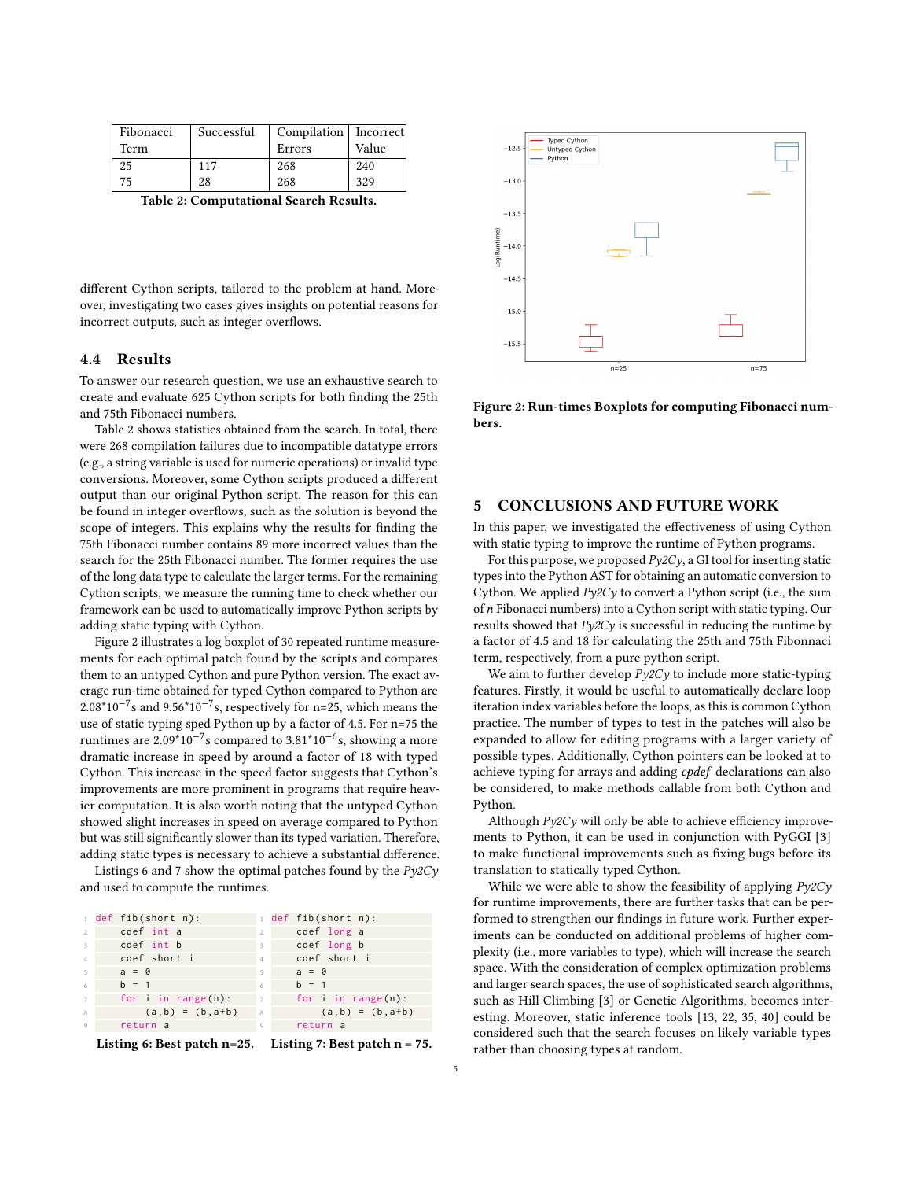<span id="page-4-1"></span>

| Fibonacci | Successful | Compilation   Incorrect |       |  |
|-----------|------------|-------------------------|-------|--|
| Term      |            | Errors                  | Value |  |
| 25        | 117        | 268                     | 240   |  |
| 75        | 28         | 268                     | 329   |  |

Table 2: Computational Search Results.

different Cython scripts, tailored to the problem at hand. Moreover, investigating two cases gives insights on potential reasons for incorrect outputs, such as integer overflows.

## 4.4 Results

To answer our research question, we use an exhaustive search to create and evaluate 625 Cython scripts for both finding the 25th and 75th Fibonacci numbers.

Table [2](#page-4-1) shows statistics obtained from the search. In total, there were 268 compilation failures due to incompatible datatype errors (e.g., a string variable is used for numeric operations) or invalid type conversions. Moreover, some Cython scripts produced a different output than our original Python script. The reason for this can be found in integer overflows, such as the solution is beyond the scope of integers. This explains why the results for finding the 75th Fibonacci number contains 89 more incorrect values than the search for the 25th Fibonacci number. The former requires the use of the long data type to calculate the larger terms. For the remaining Cython scripts, we measure the running time to check whether our framework can be used to automatically improve Python scripts by adding static typing with Cython.

Figure [2](#page-4-2) illustrates a log boxplot of 30 repeated runtime measurements for each optimal patch found by the scripts and compares them to an untyped Cython and pure Python version. The exact average run-time obtained for typed Cython compared to Python are  $2.08*10^{-7}$ s and  $9.56*10^{-7}$ s, respectively for n=25, which means the use of static typing sped Python up by a factor of 4.5. For n=75 the runtimes are 2.09\*10−<sup>7</sup> s compared to 3.81\*10−<sup>6</sup> s, showing a more dramatic increase in speed by around a factor of 18 with typed Cython. This increase in the speed factor suggests that Cython's improvements are more prominent in programs that require heavier computation. It is also worth noting that the untyped Cython showed slight increases in speed on average compared to Python but was still significantly slower than its typed variation. Therefore, adding static types is necessary to achieve a substantial difference.

Listings [6](#page-4-3) and [7](#page-4-4) show the optimal patches found by the  $Py2Cy$ and used to compute the runtimes.

<span id="page-4-4"></span><span id="page-4-3"></span>

|                | def fib(short n):                                                       |                | $1$ def fib(short n):    |
|----------------|-------------------------------------------------------------------------|----------------|--------------------------|
| 2              | cdef int a                                                              | $\mathfrak{D}$ | cdef long a              |
| 3              | cdef int b                                                              | 3              | cdef long b              |
| $\overline{4}$ | cdef short i                                                            | $\overline{4}$ | cdef short i             |
| 5              | $a = 0$                                                                 | 5              | $a = 0$                  |
| 6              | $h = 1$                                                                 | 6              | $h = 1$                  |
| 7              | for $i$ in range $(n)$ :                                                | 7              | for $i$ in range $(n)$ : |
| 8              | $(a, b) = (b, a+b)$                                                     | 8              | $(a, b) = (b, a+b)$      |
| 9              | return a                                                                | 9              | return a                 |
|                | $\mathbf{r} \cdot \mathbf{r}$ . The state $\mathbf{r} \cdot \mathbf{r}$ |                |                          |

Listing 6: Best patch n=25. Listing 7: Best patch n = 75.

<span id="page-4-2"></span>Typed Cython<br>Untyped Cython  $-12$ <sup>s</sup> Python  $-13.0$  $-13.5$  $-14.0$  $-14.5$  $-15.0$  $-15.5$  $n = 25$  $n = 75$ 

Figure 2: Run-times Boxplots for computing Fibonacci numbers.

#### <span id="page-4-0"></span>5 CONCLUSIONS AND FUTURE WORK

In this paper, we investigated the effectiveness of using Cython with static typing to improve the runtime of Python programs.

For this purpose, we proposed  $Py2Cy$ , a GI tool for inserting static types into the Python AST for obtaining an automatic conversion to Cython. We applied  $Py2Cy$  to convert a Python script (i.e., the sum of *n* Fibonacci numbers) into a Cython script with static typing. Our results showed that  $P\gamma 2C\gamma$  is successful in reducing the runtime by a factor of 4.5 and 18 for calculating the 25th and 75th Fibonnaci term, respectively, from a pure python script.

We aim to further develop  $Py2Cy$  to include more static-typing features. Firstly, it would be useful to automatically declare loop iteration index variables before the loops, as this is common Cython practice. The number of types to test in the patches will also be expanded to allow for editing programs with a larger variety of possible types. Additionally, Cython pointers can be looked at to achieve typing for arrays and adding cpdef declarations can also be considered, to make methods callable from both Cython and Python.

Although  $P\gamma 2C\gamma$  will only be able to achieve efficiency improvements to Python, it can be used in conjunction with PyGGI [\[3\]](#page-5-5) to make functional improvements such as fixing bugs before its translation to statically typed Cython.

While we were able to show the feasibility of applying  $Py2Cy$ for runtime improvements, there are further tasks that can be performed to strengthen our findings in future work. Further experiments can be conducted on additional problems of higher complexity (i.e., more variables to type), which will increase the search space. With the consideration of complex optimization problems and larger search spaces, the use of sophisticated search algorithms, such as Hill Climbing [\[3\]](#page-5-5) or Genetic Algorithms, becomes interesting. Moreover, static inference tools [\[13,](#page-5-42) [22,](#page-5-44) [35,](#page-5-45) [40\]](#page-5-46) could be considered such that the search focuses on likely variable types rather than choosing types at random.